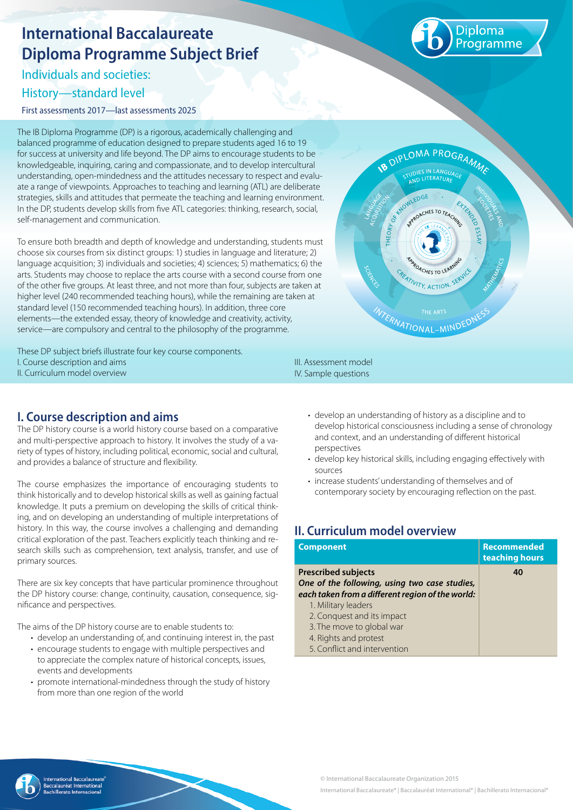# **International Baccalaureate Diploma Programme Subject Brief**

Individuals and societies:

## History—standard level

First assessments 2017—last assessments 2025

The IB Diploma Programme (DP) is a rigorous, academically challenging and balanced programme of education designed to prepare students aged 16 to 19 for success at university and life beyond. The DP aims to encourage students to be knowledgeable, inquiring, caring and compassionate, and to develop intercultural understanding, open-mindedness and the attitudes necessary to respect and evaluate a range of viewpoints. Approaches to teaching and learning (ATL) are deliberate strategies, skills and attitudes that permeate the teaching and learning environment. In the DP, students develop skills from five ATL categories: thinking, research, social, self-management and communication.

To ensure both breadth and depth of knowledge and understanding, students must choose six courses from six distinct groups: 1) studies in language and literature; 2) language acquisition; 3) individuals and societies; 4) sciences; 5) mathematics; 6) the arts. Students may choose to replace the arts course with a second course from one of the other five groups. At least three, and not more than four, subjects are taken at higher level (240 recommended teaching hours), while the remaining are taken at standard level (150 recommended teaching hours). In addition, three core elements—the extended essay, theory of knowledge and creativity, activity, service—are compulsory and central to the philosophy of the programme.

These DP subject briefs illustrate four key course components. I. Course description and aims II. Curriculum model overview



iploma coramme

# **I. Course description and aims**

The DP history course is a world history course based on a comparative and multi-perspective approach to history. It involves the study of a variety of types of history, including political, economic, social and cultural, and provides a balance of structure and flexibility.

The course emphasizes the importance of encouraging students to think historically and to develop historical skills as well as gaining factual knowledge. It puts a premium on developing the skills of critical thinking, and on developing an understanding of multiple interpretations of history. In this way, the course involves a challenging and demanding critical exploration of the past. Teachers explicitly teach thinking and research skills such as comprehension, text analysis, transfer, and use of primary sources.

There are six key concepts that have particular prominence throughout the DP history course: change, continuity, causation, consequence, significance and perspectives.

The aims of the DP history course are to enable students to:

- develop an understanding of, and continuing interest in, the past
- encourage students to engage with multiple perspectives and to appreciate the complex nature of historical concepts, issues, events and developments
- promote international-mindedness through the study of history from more than one region of the world

• develop an understanding of history as a discipline and to develop historical consciousness including a sense of chronology and context, and an understanding of different historical

- perspectives • develop key historical skills, including engaging effectively with sources
- increase students' understanding of themselves and of contemporary society by encouraging reflection on the past.

# **II. Curriculum model overview**

III. Assessment model IV. Sample questions

| <b>Component</b>                                 | <b>Recommended</b><br>teaching hours |
|--------------------------------------------------|--------------------------------------|
| <b>Prescribed subjects</b>                       | 40                                   |
| One of the following, using two case studies,    |                                      |
| each taken from a different region of the world: |                                      |
| 1. Military leaders                              |                                      |
| 2. Conquest and its impact                       |                                      |
| 3. The move to global war                        |                                      |
| 4. Rights and protest                            |                                      |
| 5. Conflict and intervention                     |                                      |